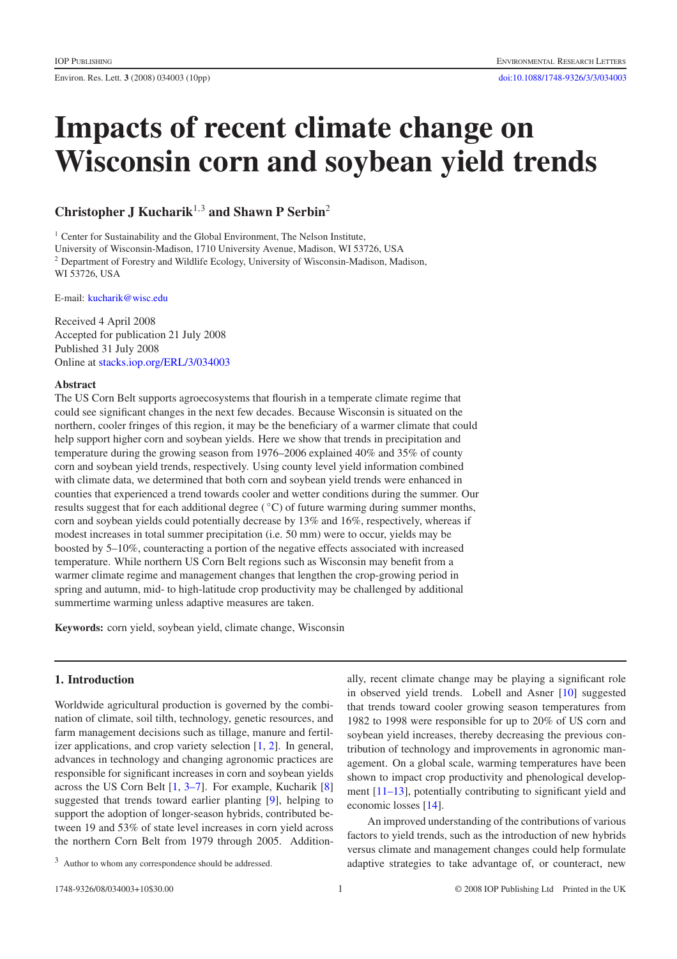# **Impacts of recent climate change on Wisconsin corn and soybean yield trends**

## **Christopher J Kucharik**<sup>1</sup>,<sup>3</sup> **and Shawn P Serbin**<sup>2</sup>

<sup>1</sup> Center for Sustainability and the Global Environment, The Nelson Institute, University of Wisconsin-Madison, 1710 University Avenue, Madison, WI 53726, USA <sup>2</sup> Department of Forestry and Wildlife Ecology, University of Wisconsin-Madison, Madison, WI 53726, USA

E-mail: [kucharik@wisc.edu](mailto:kucharik@wisc.edu)

Received 4 April 2008 Accepted for publication 21 July 2008 Published 31 July 2008 Online at [stacks.iop.org/ERL/3/034003](http://stacks.iop.org/ERL/3/034003)

## **Abstract**

The US Corn Belt supports agroecosystems that flourish in a temperate climate regime that could see significant changes in the next few decades. Because Wisconsin is situated on the northern, cooler fringes of this region, it may be the beneficiary of a warmer climate that could help support higher corn and soybean yields. Here we show that trends in precipitation and temperature during the growing season from 1976–2006 explained 40% and 35% of county corn and soybean yield trends, respectively. Using county level yield information combined with climate data, we determined that both corn and soybean yield trends were enhanced in counties that experienced a trend towards cooler and wetter conditions during the summer. Our results suggest that for each additional degree ( ◦C) of future warming during summer months, corn and soybean yields could potentially decrease by 13% and 16%, respectively, whereas if modest increases in total summer precipitation (i.e. 50 mm) were to occur, yields may be boosted by 5–10%, counteracting a portion of the negative effects associated with increased temperature. While northern US Corn Belt regions such as Wisconsin may benefit from a warmer climate regime and management changes that lengthen the crop-growing period in spring and autumn, mid- to high-latitude crop productivity may be challenged by additional summertime warming unless adaptive measures are taken.

**Keywords:** corn yield, soybean yield, climate change, Wisconsin

## **1. Introduction**

Worldwide agricultural production is governed by the combination of climate, soil tilth, technology, genetic resources, and farm management decisions such as tillage, manure and fertilizer applications, and crop variety selection [\[1,](#page-8-0) [2\]](#page-8-1). In general, advances in technology and changing agronomic practices are responsible for significant increases in corn and soybean yields across the US Corn Belt [\[1,](#page-8-0) [3–7\]](#page-8-2). For example, Kucharik [\[8\]](#page-8-3) suggested that trends toward earlier planting [\[9\]](#page-8-4), helping to support the adoption of longer-season hybrids, contributed between 19 and 53% of state level increases in corn yield across the northern Corn Belt from 1979 through 2005. Additionally, recent climate change may be playing a significant role in observed yield trends. Lobell and Asner [\[10\]](#page-8-5) suggested that trends toward cooler growing season temperatures from 1982 to 1998 were responsible for up to 20% of US corn and soybean yield increases, thereby decreasing the previous contribution of technology and improvements in agronomic management. On a global scale, warming temperatures have been shown to impact crop productivity and phenological development [\[11–13\]](#page-8-6), potentially contributing to significant yield and economic losses [\[14\]](#page-8-7).

An improved understanding of the contributions of various factors to yield trends, such as the introduction of new hybrids versus climate and management changes could help formulate adaptive strategies to take advantage of, or counteract, new

 $3$  Author to whom any correspondence should be addressed.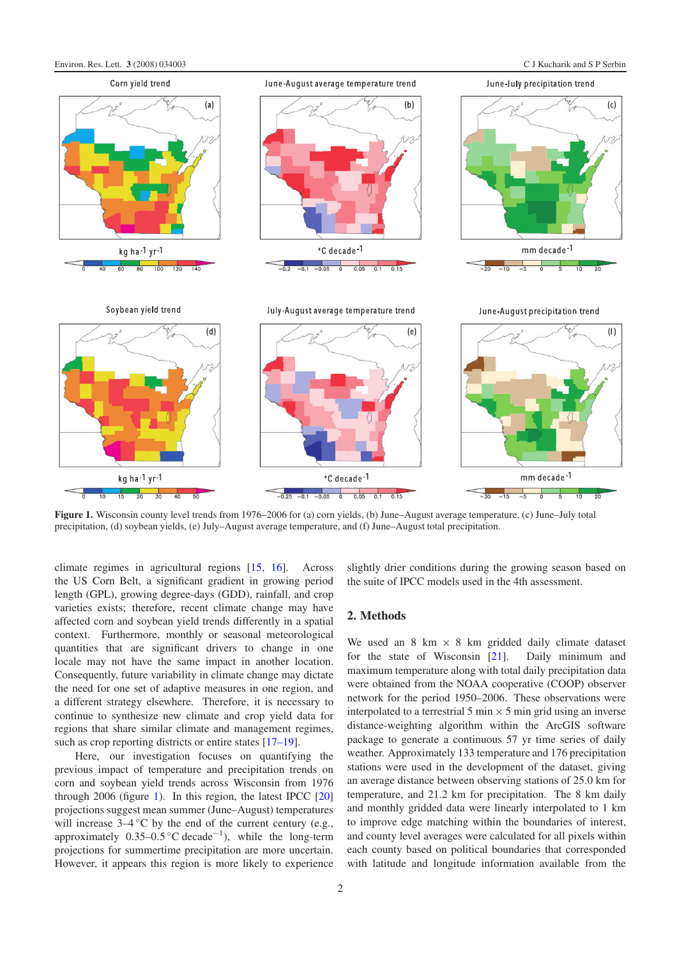<span id="page-1-0"></span>

**Figure 1.** Wisconsin county level trends from 1976–2006 for (a) corn yields, (b) June–August average temperature, (c) June–July total precipitation, (d) soybean yields, (e) July–August average temperature, and (f) June–August total precipitation.

climate regimes in agricultural regions [\[15,](#page-8-8) [16\]](#page-8-9). Across the US Corn Belt, a significant gradient in growing period length (GPL), growing degree-days (GDD), rainfall, and crop varieties exists; therefore, recent climate change may have affected corn and soybean yield trends differently in a spatial context. Furthermore, monthly or seasonal meteorological quantities that are significant drivers to change in one locale may not have the same impact in another location. Consequently, future variability in climate change may dictate the need for one set of adaptive measures in one region, and a different strategy elsewhere. Therefore, it is necessary to continue to synthesize new climate and crop yield data for regions that share similar climate and management regimes, such as crop reporting districts or entire states [\[17–19\]](#page-8-10).

Here, our investigation focuses on quantifying the previous impact of temperature and precipitation trends on corn and soybean yield trends across Wisconsin from 1976 through 2006 (figure [1\)](#page-1-0). In this region, the latest IPCC  $[20]$ projections suggest mean summer (June–August) temperatures will increase  $3-4$  °C by the end of the current century (e.g., approximately  $0.35-0.5$ °C decade<sup>-1</sup>), while the long-term projections for summertime precipitation are more uncertain. However, it appears this region is more likely to experience slightly drier conditions during the growing season based on the suite of IPCC models used in the 4th assessment.

## **2. Methods**

We used an  $8 \text{ km } \times 8 \text{ km }$  gridded daily climate dataset for the state of Wisconsin [\[21\]](#page-8-12). Daily minimum and maximum temperature along with total daily precipitation data were obtained from the NOAA cooperative (COOP) observer network for the period 1950–2006. These observations were interpolated to a terrestrial 5 min  $\times$  5 min grid using an inverse distance-weighting algorithm within the ArcGIS software package to generate a continuous 57 yr time series of daily weather. Approximately 133 temperature and 176 precipitation stations were used in the development of the dataset, giving an average distance between observing stations of 25.0 km for temperature, and 21.2 km for precipitation. The 8 km daily and monthly gridded data were linearly interpolated to 1 km to improve edge matching within the boundaries of interest, and county level averages were calculated for all pixels within each county based on political boundaries that corresponded with latitude and longitude information available from the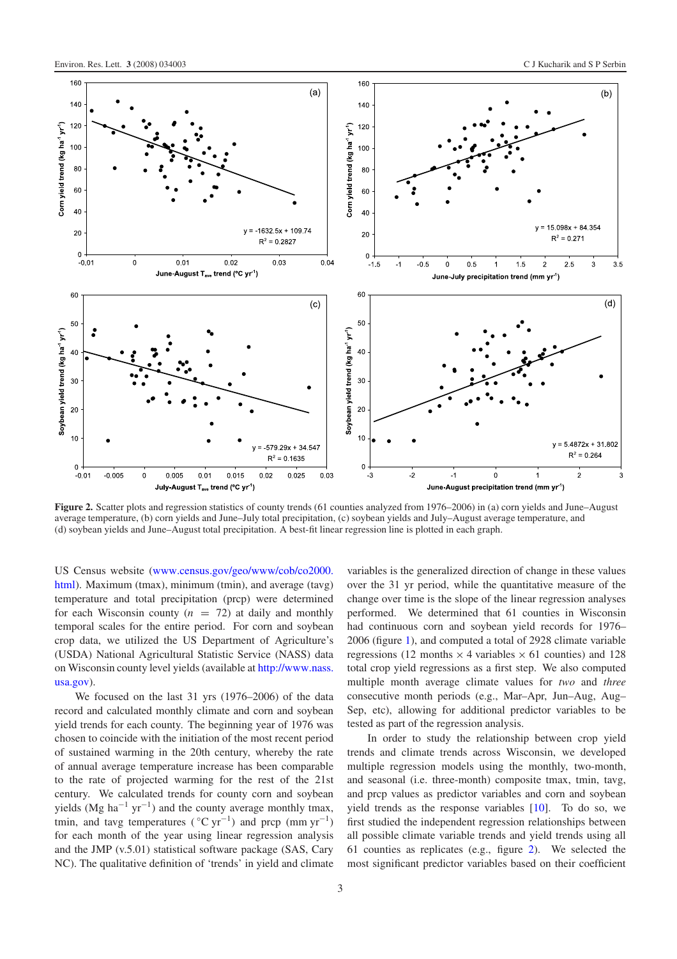<span id="page-2-0"></span>

**Figure 2.** Scatter plots and regression statistics of county trends (61 counties analyzed from 1976–2006) in (a) corn yields and June–August average temperature, (b) corn yields and June–July total precipitation, (c) soybean yields and July–August average temperature, and (d) soybean yields and June–August total precipitation. A best-fit linear regression line is plotted in each graph.

US Census website [\(www.census.gov/geo/www/cob/co2000.](http://www.census.gov/geo/www/cob/co2000.html) [html\)](http://www.census.gov/geo/www/cob/co2000.html). Maximum (tmax), minimum (tmin), and average (tavg) temperature and total precipitation (prcp) were determined for each Wisconsin county  $(n = 72)$  at daily and monthly temporal scales for the entire period. For corn and soybean crop data, we utilized the US Department of Agriculture's (USDA) National Agricultural Statistic Service (NASS) data on Wisconsin county level yields (available at [http://www.nass.](http://www.nass.usa.gov) [usa.gov\)](http://www.nass.usa.gov).

We focused on the last 31 yrs (1976–2006) of the data record and calculated monthly climate and corn and soybean yield trends for each county. The beginning year of 1976 was chosen to coincide with the initiation of the most recent period of sustained warming in the 20th century, whereby the rate of annual average temperature increase has been comparable to the rate of projected warming for the rest of the 21st century. We calculated trends for county corn and soybean yields (Mg ha<sup>-1</sup> yr<sup>-1</sup>) and the county average monthly tmax, tmin, and tavg temperatures ( $°C \text{ yr}^{-1}$ ) and prcp (mm yr<sup>-1</sup>) for each month of the year using linear regression analysis and the JMP (v.5.01) statistical software package (SAS, Cary NC). The qualitative definition of 'trends' in yield and climate variables is the generalized direction of change in these values over the 31 yr period, while the quantitative measure of the change over time is the slope of the linear regression analyses performed. We determined that 61 counties in Wisconsin had continuous corn and soybean yield records for 1976– 2006 (figure [1\)](#page-1-0), and computed a total of 2928 climate variable regressions (12 months  $\times$  4 variables  $\times$  61 counties) and 128 total crop yield regressions as a first step. We also computed multiple month average climate values for *two* and *three* consecutive month periods (e.g., Mar–Apr, Jun–Aug, Aug– Sep, etc), allowing for additional predictor variables to be tested as part of the regression analysis.

In order to study the relationship between crop yield trends and climate trends across Wisconsin, we developed multiple regression models using the monthly, two-month, and seasonal (i.e. three-month) composite tmax, tmin, tavg, and prcp values as predictor variables and corn and soybean yield trends as the response variables [\[10\]](#page-8-5). To do so, we first studied the independent regression relationships between all possible climate variable trends and yield trends using all 61 counties as replicates (e.g., figure [2\)](#page-2-0). We selected the most significant predictor variables based on their coefficient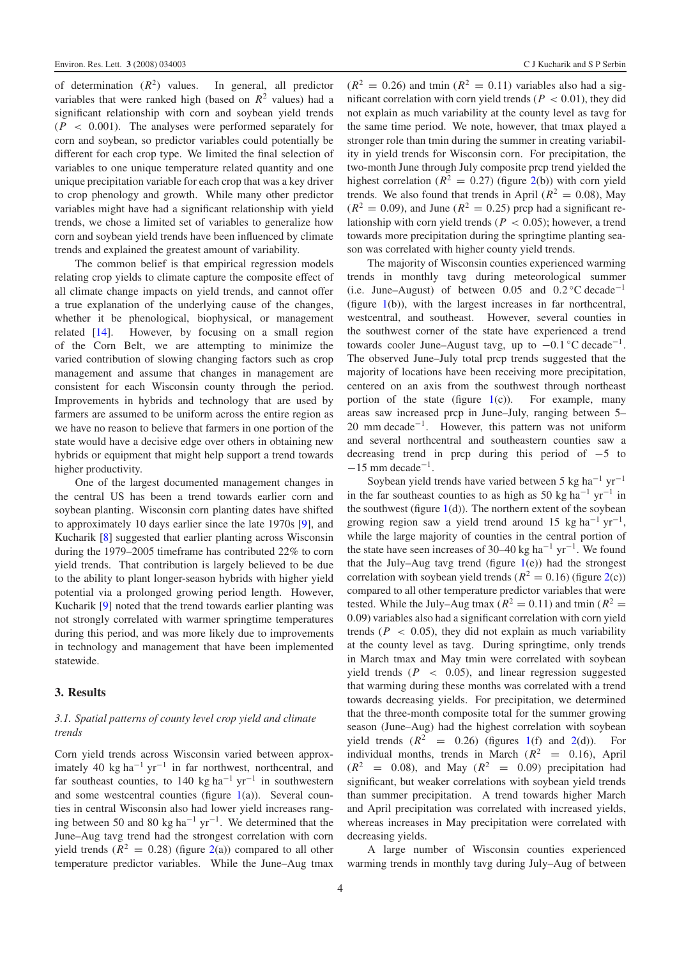of determination  $(R^2)$  values. In general, all predictor variables that were ranked high (based on  $R^2$  values) had a significant relationship with corn and soybean yield trends (*P* < 0.001). The analyses were performed separately for corn and soybean, so predictor variables could potentially be different for each crop type. We limited the final selection of variables to one unique temperature related quantity and one unique precipitation variable for each crop that was a key driver to crop phenology and growth. While many other predictor variables might have had a significant relationship with yield trends, we chose a limited set of variables to generalize how corn and soybean yield trends have been influenced by climate trends and explained the greatest amount of variability.

The common belief is that empirical regression models relating crop yields to climate capture the composite effect of all climate change impacts on yield trends, and cannot offer a true explanation of the underlying cause of the changes, whether it be phenological, biophysical, or management related [\[14\]](#page-8-7). However, by focusing on a small region of the Corn Belt, we are attempting to minimize the varied contribution of slowing changing factors such as crop management and assume that changes in management are consistent for each Wisconsin county through the period. Improvements in hybrids and technology that are used by farmers are assumed to be uniform across the entire region as we have no reason to believe that farmers in one portion of the state would have a decisive edge over others in obtaining new hybrids or equipment that might help support a trend towards higher productivity.

One of the largest documented management changes in the central US has been a trend towards earlier corn and soybean planting. Wisconsin corn planting dates have shifted to approximately 10 days earlier since the late 1970s [\[9\]](#page-8-4), and Kucharik [\[8\]](#page-8-3) suggested that earlier planting across Wisconsin during the 1979–2005 timeframe has contributed 22% to corn yield trends. That contribution is largely believed to be due to the ability to plant longer-season hybrids with higher yield potential via a prolonged growing period length. However, Kucharik [\[9\]](#page-8-4) noted that the trend towards earlier planting was not strongly correlated with warmer springtime temperatures during this period, and was more likely due to improvements in technology and management that have been implemented statewide.

#### **3. Results**

## *3.1. Spatial patterns of county level crop yield and climate trends*

Corn yield trends across Wisconsin varied between approximately 40 kg ha<sup> $-1$ </sup> yr<sup> $-1$ </sup> in far northwest, northcentral, and far southeast counties, to 140 kg ha<sup>-1</sup> yr<sup>-1</sup> in southwestern and some westcentral counties (figure  $1(a)$  $1(a)$ ). Several counties in central Wisconsin also had lower yield increases ranging between 50 and 80 kg ha<sup>-1</sup> yr<sup>-1</sup>. We determined that the June–Aug tavg trend had the strongest correlation with corn yield trends ( $R^2 = 0.28$ ) (figure [2\(](#page-2-0)a)) compared to all other temperature predictor variables. While the June–Aug tmax

 $(R^{2} = 0.26)$  and tmin  $(R^{2} = 0.11)$  variables also had a significant correlation with corn yield trends ( $P < 0.01$ ), they did not explain as much variability at the county level as tavg for the same time period. We note, however, that tmax played a stronger role than tmin during the summer in creating variability in yield trends for Wisconsin corn. For precipitation, the two-month June through July composite prcp trend yielded the highest correlation ( $R^2 = 0.27$ ) (figure [2\(](#page-2-0)b)) with corn yield trends. We also found that trends in April  $(R^2 = 0.08)$ . May  $(R^2 = 0.09)$ , and June  $(R^2 = 0.25)$  prop had a significant relationship with corn yield trends ( $P < 0.05$ ); however, a trend towards more precipitation during the springtime planting season was correlated with higher county yield trends.

The majority of Wisconsin counties experienced warming trends in monthly tavg during meteorological summer (i.e. June–August) of between 0.05 and  $0.2 \degree$ C decade<sup>-1</sup> (figure [1\(](#page-1-0)b)), with the largest increases in far northcentral, westcentral, and southeast. However, several counties in the southwest corner of the state have experienced a trend towards cooler June–August tavg, up to  $-0.1 \degree$ C decade<sup>-1</sup>. The observed June–July total prcp trends suggested that the majority of locations have been receiving more precipitation, centered on an axis from the southwest through northeast portion of the state (figure  $1(c)$  $1(c)$ ). For example, many areas saw increased prcp in June–July, ranging between 5– 20 mm decade<sup> $-1$ </sup>. However, this pattern was not uniform and several northcentral and southeastern counties saw a decreasing trend in prcp during this period of −5 to  $-15$  mm decade<sup>-1</sup>.

Soybean yield trends have varied between 5 kg ha<sup>-1</sup> yr<sup>-1</sup> in the far southeast counties to as high as 50 kg ha<sup>-1</sup> yr<sup>-1</sup> in the southwest (figure  $1(d)$  $1(d)$ ). The northern extent of the soybean growing region saw a yield trend around 15 kg ha<sup>-1</sup> yr<sup>-1</sup>, while the large majority of counties in the central portion of the state have seen increases of 30–40 kg ha<sup>-1</sup> yr<sup>-1</sup>. We found that the July–Aug tavg trend (figure  $1(e)$  $1(e)$ ) had the strongest correlation with soybean yield trends ( $R^2 = 0.16$ ) (figure [2\(](#page-2-0)c)) compared to all other temperature predictor variables that were tested. While the July–Aug tmax ( $R^2 = 0.11$ ) and tmin ( $R^2 =$ 0.09) variables also had a significant correlation with corn yield trends ( $P < 0.05$ ), they did not explain as much variability at the county level as tavg. During springtime, only trends in March tmax and May tmin were correlated with soybean yield trends  $(P < 0.05)$ , and linear regression suggested that warming during these months was correlated with a trend towards decreasing yields. For precipitation, we determined that the three-month composite total for the summer growing season (June–Aug) had the highest correlation with soybean yield trends  $(R^2 = 0.26)$  (figures [1\(](#page-1-0)f) and [2\(](#page-2-0)d)). For individual months, trends in March (*R*<sup>2</sup> = 0.16), April  $(R^2 = 0.08)$ , and May  $(R^2 = 0.09)$  precipitation had significant, but weaker correlations with soybean yield trends than summer precipitation. A trend towards higher March and April precipitation was correlated with increased yields, whereas increases in May precipitation were correlated with decreasing yields.

A large number of Wisconsin counties experienced warming trends in monthly tavg during July–Aug of between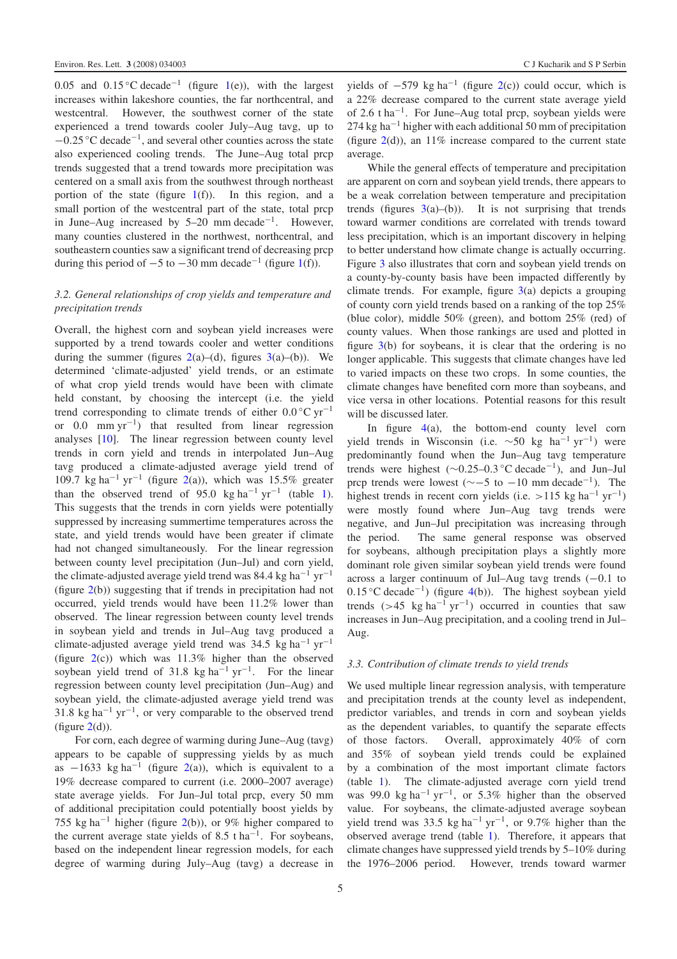0.05 and  $0.15\textdegree$ C decade<sup>-1</sup> (figure [1\(](#page-1-0)e)), with the largest increases within lakeshore counties, the far northcentral, and westcentral. However, the southwest corner of the state experienced a trend towards cooler July–Aug tavg, up to −0.25 ◦C decade−<sup>1</sup> , and several other counties across the state also experienced cooling trends. The June–Aug total prcp trends suggested that a trend towards more precipitation was centered on a small axis from the southwest through northeast portion of the state (figure  $1(f)$  $1(f)$ ). In this region, and a small portion of the westcentral part of the state, total prcp in June–Aug increased by 5–20 mm decade<sup>−</sup>1. However, many counties clustered in the northwest, northcentral, and southeastern counties saw a significant trend of decreasing prcp during this period of  $-5$  to  $-30$  mm decade<sup>-1</sup> (figure [1\(](#page-1-0)f)).

## *3.2. General relationships of crop yields and temperature and precipitation trends*

Overall, the highest corn and soybean yield increases were supported by a trend towards cooler and wetter conditions during the summer (figures  $2(a)$  $2(a)$ –(d), figures  $3(a)$  $3(a)$ –(b)). We determined 'climate-adjusted' yield trends, or an estimate of what crop yield trends would have been with climate held constant, by choosing the intercept (i.e. the yield trend corresponding to climate trends of either  $0.0\degree C$  yr<sup>-1</sup> or 0.0 mm  $yr^{-1}$ ) that resulted from linear regression analyses [\[10\]](#page-8-5). The linear regression between county level trends in corn yield and trends in interpolated Jun–Aug tavg produced a climate-adjusted average yield trend of 109.7 kg ha<sup>-1</sup> yr<sup>-1</sup> (figure [2\(](#page-2-0)a)), which was 15.5% greater than the observed trend of 95.0 kg ha<sup>-1</sup> yr<sup>-1</sup> (table [1\)](#page-6-0). This suggests that the trends in corn yields were potentially suppressed by increasing summertime temperatures across the state, and yield trends would have been greater if climate had not changed simultaneously. For the linear regression between county level precipitation (Jun–Jul) and corn yield, the climate-adjusted average yield trend was 84.4 kg ha<sup>-1</sup> yr<sup>-1</sup> (figure [2\(](#page-2-0)b)) suggesting that if trends in precipitation had not occurred, yield trends would have been 11.2% lower than observed. The linear regression between county level trends in soybean yield and trends in Jul–Aug tavg produced a climate-adjusted average yield trend was 34.5 kg ha−<sup>1</sup> yr−<sup>1</sup> (figure  $2(c)$  $2(c)$ ) which was 11.3% higher than the observed soybean yield trend of 31.8 kg ha<sup> $-1$ </sup> yr<sup>-1</sup>. For the linear regression between county level precipitation (Jun–Aug) and soybean yield, the climate-adjusted average yield trend was 31.8 kg ha<sup> $-1$ </sup> yr<sup> $-1$ </sup>, or very comparable to the observed trend (figure  $2(d)$  $2(d)$ ).

For corn, each degree of warming during June–Aug (tavg) appears to be capable of suppressing yields by as much as  $-1633 \text{ kg ha}^{-1}$  (figure [2\(](#page-2-0)a)), which is equivalent to a 19% decrease compared to current (i.e. 2000–2007 average) state average yields. For Jun–Jul total prcp, every 50 mm of additional precipitation could potentially boost yields by 755 kg ha<sup> $-1$ </sup> higher (figure [2\(](#page-2-0)b)), or 9% higher compared to the current average state yields of 8.5 t ha<sup> $-1$ </sup>. For soybeans, based on the independent linear regression models, for each degree of warming during July–Aug (tavg) a decrease in a 22% decrease compared to the current state average yield of 2.6 t ha<sup>−</sup>1. For June–Aug total prcp, soybean yields were 274 kg ha−<sup>1</sup> higher with each additional 50 mm of precipitation (figure  $2(d)$  $2(d)$ ), an 11% increase compared to the current state average. While the general effects of temperature and precipitation

yields of  $-579 \text{ kg ha}^{-1}$  (figure [2\(](#page-2-0)c)) could occur, which is

are apparent on corn and soybean yield trends, there appears to be a weak correlation between temperature and precipitation trends (figures  $3(a)$  $3(a)$ –(b)). It is not surprising that trends toward warmer conditions are correlated with trends toward less precipitation, which is an important discovery in helping to better understand how climate change is actually occurring. Figure [3](#page-5-0) also illustrates that corn and soybean yield trends on a county-by-county basis have been impacted differently by climate trends. For example, figure  $3(a)$  $3(a)$  depicts a grouping of county corn yield trends based on a ranking of the top 25% (blue color), middle 50% (green), and bottom 25% (red) of county values. When those rankings are used and plotted in figure [3\(](#page-5-0)b) for soybeans, it is clear that the ordering is no longer applicable. This suggests that climate changes have led to varied impacts on these two crops. In some counties, the climate changes have benefited corn more than soybeans, and vice versa in other locations. Potential reasons for this result will be discussed later.

In figure  $4(a)$  $4(a)$ , the bottom-end county level corn yield trends in Wisconsin (i.e.  $\sim$ 50 kg ha<sup>-1</sup> yr<sup>-1</sup>) were predominantly found when the Jun–Aug tavg temperature trends were highest ( $\sim$ 0.25–0.3 °C decade<sup>-1</sup>), and Jun–Jul prcp trends were lowest ( $\sim$ −5 to −10 mm decade<sup>-1</sup>). The highest trends in recent corn yields (i.e. >115 kg ha<sup>-1</sup> yr<sup>-1</sup>) were mostly found where Jun–Aug tavg trends were negative, and Jun–Jul precipitation was increasing through the period. The same general response was observed for soybeans, although precipitation plays a slightly more dominant role given similar soybean yield trends were found across a larger continuum of Jul–Aug tavg trends (−0.1 to 0.15 °C decade<sup>-1</sup>) (figure [4\(](#page-6-1)b)). The highest soybean yield trends (>45 kg ha<sup>-1</sup> yr<sup>-1</sup>) occurred in counties that saw increases in Jun–Aug precipitation, and a cooling trend in Jul– Aug.

#### *3.3. Contribution of climate trends to yield trends*

We used multiple linear regression analysis, with temperature and precipitation trends at the county level as independent, predictor variables, and trends in corn and soybean yields as the dependent variables, to quantify the separate effects of those factors. Overall, approximately 40% of corn and 35% of soybean yield trends could be explained by a combination of the most important climate factors (table [1\)](#page-6-0). The climate-adjusted average corn yield trend was 99.0 kg ha<sup>-1</sup> yr<sup>-1</sup>, or 5.3% higher than the observed value. For soybeans, the climate-adjusted average soybean yield trend was 33.5 kg ha<sup>-1</sup> yr<sup>-1</sup>, or 9.7% higher than the observed average trend (table [1\)](#page-6-0). Therefore, it appears that climate changes have suppressed yield trends by 5–10% during the 1976–2006 period. However, trends toward warmer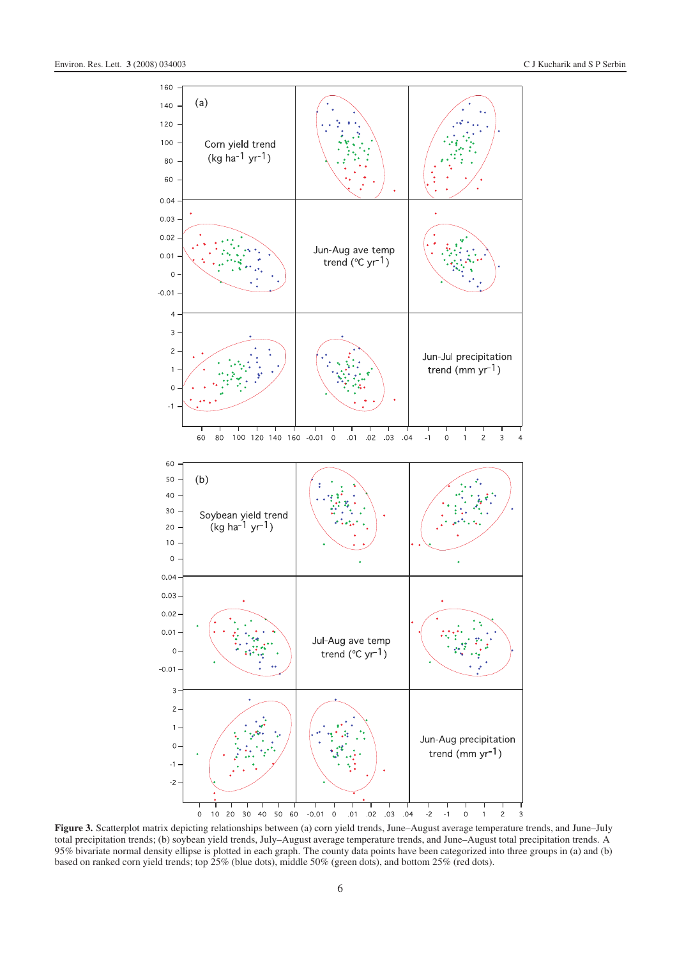<span id="page-5-0"></span>

**Figure 3.** Scatterplot matrix depicting relationships between (a) corn yield trends, June–August average temperature trends, and June–July total precipitation trends; (b) soybean yield trends, July–August average temperature trends, and June–August total precipitation trends. A 95% bivariate normal density ellipse is plotted in each graph. The county data points have been categorized into three groups in (a) and (b) based on ranked corn yield trends; top 25% (blue dots), middle 50% (green dots), and bottom 25% (red dots).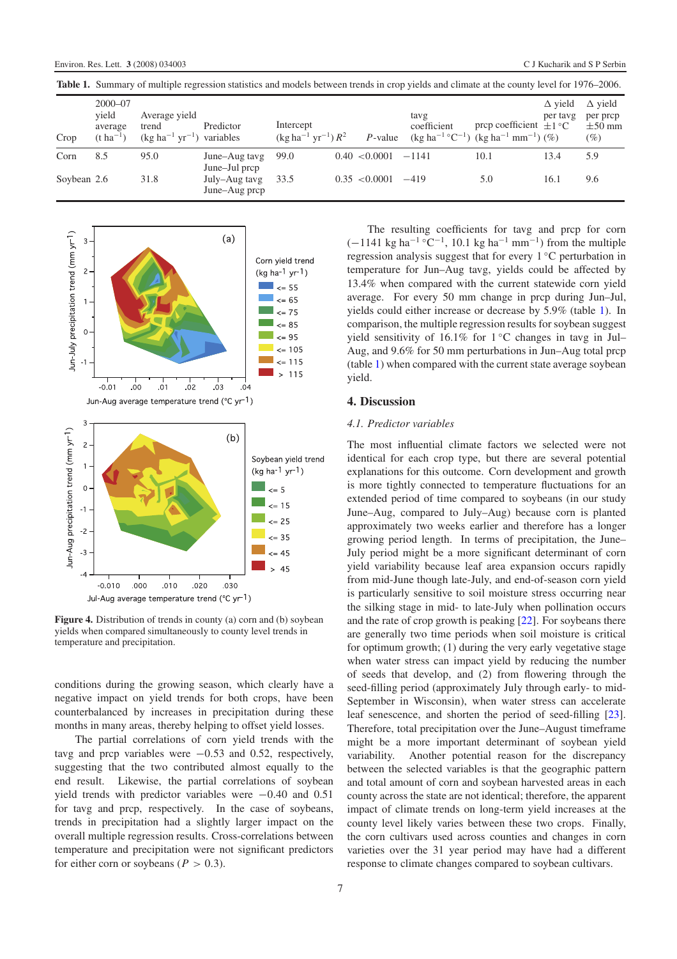<span id="page-6-0"></span>**Table 1.** Summary of multiple regression statistics and models between trends in crop yields and climate at the county level for 1976–2006.

| Crop        | $2000 - 07$<br>vield<br>average<br>$(t \text{ ha}^{-1})$ | Average yield<br>trend<br>$(\text{kg ha}^{-1} \text{ yr}^{-1})$ variables | Predictor                      | Intercept<br>$(\text{kg ha}^{-1} \text{ yr}^{-1}) R^2$ | $P$ -value              | tavg<br>coefficient | prcp coefficient $\pm 1$ °C<br>$(\text{kg ha}^{-1} \,^{\circ}\text{C}^{-1})$ $(\text{kg ha}^{-1} \,^{\circ}\text{mm}^{-1})$ $(\%)$ | $\Delta$ yield $\Delta$ yield<br>per tavg | per prcp<br>$\pm 50$ mm<br>$(\%)$ |
|-------------|----------------------------------------------------------|---------------------------------------------------------------------------|--------------------------------|--------------------------------------------------------|-------------------------|---------------------|------------------------------------------------------------------------------------------------------------------------------------|-------------------------------------------|-----------------------------------|
| Corn        | 8.5                                                      | 95.0                                                                      | June–Aug tavg<br>June-Jul prcp | 99.0                                                   | $0.40 \le 0.0001 -1141$ |                     | 10.1                                                                                                                               | 13.4                                      | 5.9                               |
| Soybean 2.6 |                                                          | 31.8                                                                      | July-Aug tavg<br>June–Aug prcp | 33.5                                                   | $0.35 \le 0.0001$       | $-419$              | 5.0                                                                                                                                | 16.1                                      | 9.6                               |

<span id="page-6-1"></span>

**Figure 4.** Distribution of trends in county (a) corn and (b) soybean yields when compared simultaneously to county level trends in temperature and precipitation.

conditions during the growing season, which clearly have a negative impact on yield trends for both crops, have been counterbalanced by increases in precipitation during these months in many areas, thereby helping to offset yield losses.

The partial correlations of corn yield trends with the tavg and prcp variables were −0.53 and 0.52, respectively, suggesting that the two contributed almost equally to the end result. Likewise, the partial correlations of soybean yield trends with predictor variables were −0.40 and 0.51 for tavg and prcp, respectively. In the case of soybeans, trends in precipitation had a slightly larger impact on the overall multiple regression results. Cross-correlations between temperature and precipitation were not significant predictors for either corn or soybeans ( $P > 0.3$ ).

The resulting coefficients for tavg and prcp for corn  $(-1141 \text{ kg ha}^{-1}$  °C<sup>-1</sup>, 10.1 kg ha<sup>-1</sup> mm<sup>-1</sup>) from the multiple regression analysis suggest that for every 1 ◦C perturbation in temperature for Jun–Aug tavg, yields could be affected by 13.4% when compared with the current statewide corn yield average. For every 50 mm change in prcp during Jun–Jul, yields could either increase or decrease by 5.9% (table [1\)](#page-6-0). In comparison, the multiple regression results for soybean suggest yield sensitivity of 16.1% for 1 ℃ changes in tavg in Jul-Aug, and 9.6% for 50 mm perturbations in Jun–Aug total prcp (table [1\)](#page-6-0) when compared with the current state average soybean yield.

### **4. Discussion**

#### *4.1. Predictor variables*

The most influential climate factors we selected were not identical for each crop type, but there are several potential explanations for this outcome. Corn development and growth is more tightly connected to temperature fluctuations for an extended period of time compared to soybeans (in our study June–Aug, compared to July–Aug) because corn is planted approximately two weeks earlier and therefore has a longer growing period length. In terms of precipitation, the June– July period might be a more significant determinant of corn yield variability because leaf area expansion occurs rapidly from mid-June though late-July, and end-of-season corn yield is particularly sensitive to soil moisture stress occurring near the silking stage in mid- to late-July when pollination occurs and the rate of crop growth is peaking [\[22\]](#page-8-13). For soybeans there are generally two time periods when soil moisture is critical for optimum growth; (1) during the very early vegetative stage when water stress can impact yield by reducing the number of seeds that develop, and (2) from flowering through the seed-filling period (approximately July through early- to mid-September in Wisconsin), when water stress can accelerate leaf senescence, and shorten the period of seed-filling [\[23\]](#page-9-0). Therefore, total precipitation over the June–August timeframe might be a more important determinant of soybean yield variability. Another potential reason for the discrepancy between the selected variables is that the geographic pattern and total amount of corn and soybean harvested areas in each county across the state are not identical; therefore, the apparent impact of climate trends on long-term yield increases at the county level likely varies between these two crops. Finally, the corn cultivars used across counties and changes in corn varieties over the 31 year period may have had a different response to climate changes compared to soybean cultivars.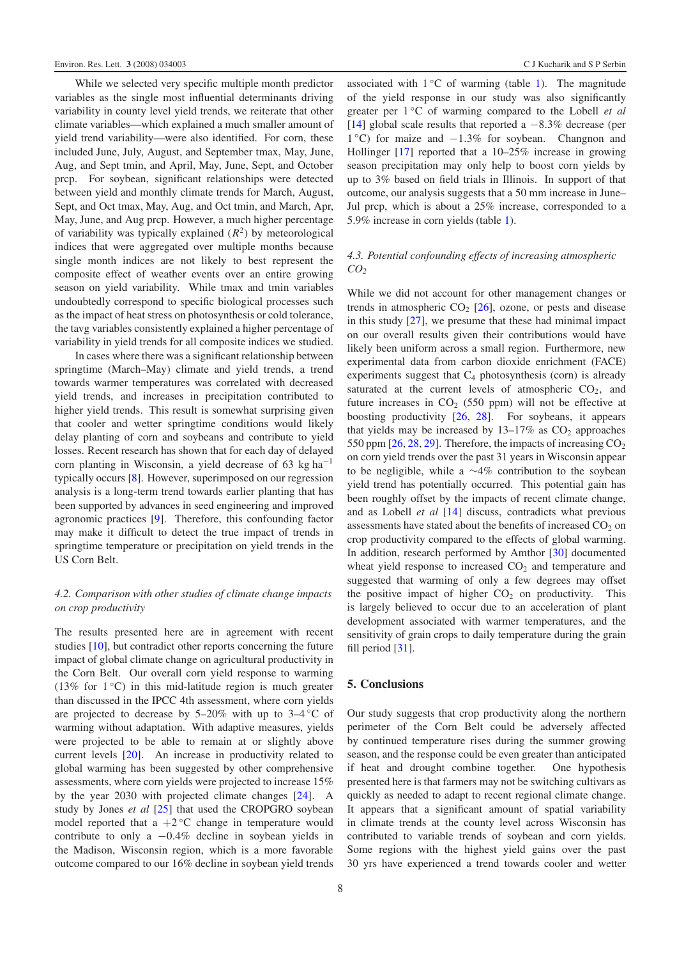While we selected very specific multiple month predictor variables as the single most influential determinants driving variability in county level yield trends, we reiterate that other climate variables—which explained a much smaller amount of yield trend variability—were also identified. For corn, these included June, July, August, and September tmax, May, June, Aug, and Sept tmin, and April, May, June, Sept, and October prcp. For soybean, significant relationships were detected between yield and monthly climate trends for March, August, Sept, and Oct tmax, May, Aug, and Oct tmin, and March, Apr, May, June, and Aug prcp. However, a much higher percentage of variability was typically explained  $(R^2)$  by meteorological indices that were aggregated over multiple months because single month indices are not likely to best represent the composite effect of weather events over an entire growing season on yield variability. While tmax and tmin variables undoubtedly correspond to specific biological processes such as the impact of heat stress on photosynthesis or cold tolerance, the tavg variables consistently explained a higher percentage of variability in yield trends for all composite indices we studied.

In cases where there was a significant relationship between springtime (March–May) climate and yield trends, a trend towards warmer temperatures was correlated with decreased yield trends, and increases in precipitation contributed to higher yield trends. This result is somewhat surprising given that cooler and wetter springtime conditions would likely delay planting of corn and soybeans and contribute to yield losses. Recent research has shown that for each day of delayed corn planting in Wisconsin, a yield decrease of 63 kg ha−<sup>1</sup> typically occurs [\[8\]](#page-8-3). However, superimposed on our regression analysis is a long-term trend towards earlier planting that has been supported by advances in seed engineering and improved agronomic practices [\[9\]](#page-8-4). Therefore, this confounding factor may make it difficult to detect the true impact of trends in springtime temperature or precipitation on yield trends in the US Corn Belt.

## *4.2. Comparison with other studies of climate change impacts on crop productivity*

The results presented here are in agreement with recent studies [\[10\]](#page-8-5), but contradict other reports concerning the future impact of global climate change on agricultural productivity in the Corn Belt. Our overall corn yield response to warming (13% for  $1^{\circ}$ C) in this mid-latitude region is much greater than discussed in the IPCC 4th assessment, where corn yields are projected to decrease by  $5-20\%$  with up to  $3-4\degree$ C of warming without adaptation. With adaptive measures, yields were projected to be able to remain at or slightly above current levels [\[20\]](#page-8-11). An increase in productivity related to global warming has been suggested by other comprehensive assessments, where corn yields were projected to increase 15% by the year 2030 with projected climate changes [\[24\]](#page-9-1). A study by Jones *et al* [\[25\]](#page-9-2) that used the CROPGRO soybean model reported that a  $+2$  °C change in temperature would contribute to only a −0.4% decline in soybean yields in the Madison, Wisconsin region, which is a more favorable outcome compared to our 16% decline in soybean yield trends associated with  $1 \degree C$  of warming (table [1\)](#page-6-0). The magnitude of the yield response in our study was also significantly greater per 1 ◦C of warming compared to the Lobell *et al* [\[14\]](#page-8-7) global scale results that reported a  $-8.3\%$  decrease (per 1 ◦C) for maize and −1.3% for soybean. Changnon and Hollinger [\[17\]](#page-8-10) reported that a 10–25% increase in growing season precipitation may only help to boost corn yields by up to 3% based on field trials in Illinois. In support of that outcome, our analysis suggests that a 50 mm increase in June– Jul prcp, which is about a 25% increase, corresponded to a 5.9% increase in corn yields (table [1\)](#page-6-0).

## *4.3. Potential confounding effects of increasing atmospheric CO2*

While we did not account for other management changes or trends in atmospheric  $CO<sub>2</sub>$  [\[26\]](#page-9-3), ozone, or pests and disease in this study  $[27]$ , we presume that these had minimal impact on our overall results given their contributions would have likely been uniform across a small region. Furthermore, new experimental data from carbon dioxide enrichment (FACE) experiments suggest that  $C_4$  photosynthesis (corn) is already saturated at the current levels of atmospheric  $CO<sub>2</sub>$ , and future increases in  $CO<sub>2</sub>$  (550 ppm) will not be effective at boosting productivity [\[26,](#page-9-3) [28\]](#page-9-5). For soybeans, it appears that yields may be increased by  $13-17\%$  as  $CO<sub>2</sub>$  approaches 550 ppm  $[26, 28, 29]$  $[26, 28, 29]$  $[26, 28, 29]$  $[26, 28, 29]$  $[26, 28, 29]$ . Therefore, the impacts of increasing  $CO<sub>2</sub>$ on corn yield trends over the past 31 years in Wisconsin appear to be negligible, while a ∼4% contribution to the soybean yield trend has potentially occurred. This potential gain has been roughly offset by the impacts of recent climate change, and as Lobell *et al* [\[14\]](#page-8-7) discuss, contradicts what previous assessments have stated about the benefits of increased  $CO<sub>2</sub>$  on crop productivity compared to the effects of global warming. In addition, research performed by Amthor [\[30\]](#page-9-7) documented wheat yield response to increased  $CO<sub>2</sub>$  and temperature and suggested that warming of only a few degrees may offset the positive impact of higher  $CO<sub>2</sub>$  on productivity. This is largely believed to occur due to an acceleration of plant development associated with warmer temperatures, and the sensitivity of grain crops to daily temperature during the grain fill period [\[31\]](#page-9-8).

## **5. Conclusions**

Our study suggests that crop productivity along the northern perimeter of the Corn Belt could be adversely affected by continued temperature rises during the summer growing season, and the response could be even greater than anticipated if heat and drought combine together. One hypothesis presented here is that farmers may not be switching cultivars as quickly as needed to adapt to recent regional climate change. It appears that a significant amount of spatial variability in climate trends at the county level across Wisconsin has contributed to variable trends of soybean and corn yields. Some regions with the highest yield gains over the past 30 yrs have experienced a trend towards cooler and wetter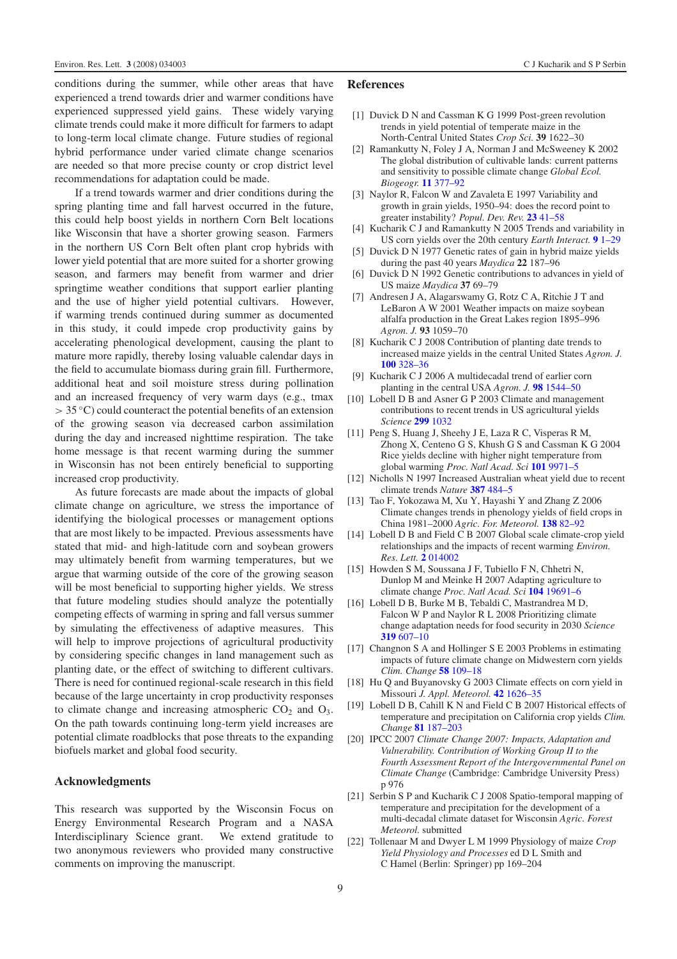conditions during the summer, while other areas that have experienced a trend towards drier and warmer conditions have experienced suppressed yield gains. These widely varying climate trends could make it more difficult for farmers to adapt to long-term local climate change. Future studies of regional hybrid performance under varied climate change scenarios are needed so that more precise county or crop district level recommendations for adaptation could be made.

If a trend towards warmer and drier conditions during the spring planting time and fall harvest occurred in the future, this could help boost yields in northern Corn Belt locations like Wisconsin that have a shorter growing season. Farmers in the northern US Corn Belt often plant crop hybrids with lower yield potential that are more suited for a shorter growing season, and farmers may benefit from warmer and drier springtime weather conditions that support earlier planting and the use of higher yield potential cultivars. However, if warming trends continued during summer as documented in this study, it could impede crop productivity gains by accelerating phenological development, causing the plant to mature more rapidly, thereby losing valuable calendar days in the field to accumulate biomass during grain fill. Furthermore, additional heat and soil moisture stress during pollination and an increased frequency of very warm days (e.g., tmax > 35 ◦C) could counteract the potential benefits of an extension of the growing season via decreased carbon assimilation during the day and increased nighttime respiration. The take home message is that recent warming during the summer in Wisconsin has not been entirely beneficial to supporting increased crop productivity.

As future forecasts are made about the impacts of global climate change on agriculture, we stress the importance of identifying the biological processes or management options that are most likely to be impacted. Previous assessments have stated that mid- and high-latitude corn and soybean growers may ultimately benefit from warming temperatures, but we argue that warming outside of the core of the growing season will be most beneficial to supporting higher yields. We stress that future modeling studies should analyze the potentially competing effects of warming in spring and fall versus summer by simulating the effectiveness of adaptive measures. This will help to improve projections of agricultural productivity by considering specific changes in land management such as planting date, or the effect of switching to different cultivars. There is need for continued regional-scale research in this field because of the large uncertainty in crop productivity responses to climate change and increasing atmospheric  $CO<sub>2</sub>$  and  $O<sub>3</sub>$ . On the path towards continuing long-term yield increases are potential climate roadblocks that pose threats to the expanding biofuels market and global food security.

#### **Acknowledgments**

This research was supported by the Wisconsin Focus on Energy Environmental Research Program and a NASA Interdisciplinary Science grant. We extend gratitude to two anonymous reviewers who provided many constructive comments on improving the manuscript.

#### <span id="page-8-1"></span><span id="page-8-0"></span>**References**

- <span id="page-8-2"></span>[1] Duvick D N and Cassman K G 1999 Post-green revolution trends in yield potential of temperate maize in the North-Central United States *Crop Sci.* **39** 1622–30
- [2] Ramankutty N, Foley J A, Norman J and McSweeney K 2002 The global distribution of cultivable lands: current patterns and sensitivity to possible climate change *Global Ecol. Biogeogr.* **11** [377–92](http://dx.doi.org/10.1046/j.1466-822x.2002.00294.x)
- [3] Naylor R, Falcon W and Zavaleta E 1997 Variability and growth in grain yields, 1950–94: does the record point to greater instability? *Popul. Dev. Rev.* **23** [41–58](http://dx.doi.org/10.2307/2137460)
- [4] Kucharik C J and Ramankutty N 2005 Trends and variability in US corn yields over the 20th century *Earth Interact.* **9** [1–29](http://dx.doi.org/10.1175/EI098.1)
- <span id="page-8-3"></span>[5] Duvick D N 1977 Genetic rates of gain in hybrid maize yields during the past 40 years *Maydica* **22** 187–96
- [6] Duvick D N 1992 Genetic contributions to advances in yield of US maize *Maydica* **37** 69–79
- <span id="page-8-5"></span><span id="page-8-4"></span>[7] Andresen J A, Alagarswamy G, Rotz C A, Ritchie J T and LeBaron A W 2001 Weather impacts on maize soybean alfalfa production in the Great Lakes region 1895–996 *Agron. J.* **93** 1059–70
- <span id="page-8-6"></span>[8] Kucharik C J 2008 Contribution of planting date trends to increased maize yields in the central United States *Agron. J.* **100** [328–36](http://dx.doi.org/10.2134/agrojnl2007.0145)
- [9] Kucharik C J 2006 A multidecadal trend of earlier corn planting in the central USA *Agron. J.* **98** [1544–50](http://dx.doi.org/10.2134/agronj2006.0156)
- [10] Lobell D B and Asner G P 2003 Climate and management contributions to recent trends in US agricultural yields *Science* **299** [1032](http://dx.doi.org/10.1126/science.1077838)
- <span id="page-8-7"></span>[11] Peng S, Huang J, Sheehy J E, Laza R C, Visperas R M, Zhong X, Centeno G S, Khush G S and Cassman K G 2004 Rice yields decline with higher night temperature from global warming *Proc. Natl Acad. Sci* **101** [9971–5](http://dx.doi.org/10.1073/pnas.0403720101)
- [12] Nicholls N 1997 Increased Australian wheat yield due to recent climate trends *Nature* **387** [484–5](http://dx.doi.org/10.1038/387484a0)
- <span id="page-8-8"></span>[13] Tao F, Yokozawa M, Xu Y, Hayashi Y and Zhang Z 2006 Climate changes trends in phenology yields of field crops in China 1981–2000 *Agric. For. Meteorol.* **138** [82–92](http://dx.doi.org/10.1016/j.agrformet.2006.03.014)
- <span id="page-8-9"></span>[14] Lobell D B and Field C B 2007 Global scale climate-crop vield relationships and the impacts of recent warming *Environ. Res. Lett.* **2** [014002](http://dx.doi.org/10.1088/1748-9326/2/1/014002)
- <span id="page-8-10"></span>[15] Howden S M, Soussana J F, Tubiello F N, Chhetri N, Dunlop M and Meinke H 2007 Adapting agriculture to climate change *Proc. Natl Acad. Sci* **104** [19691–6](http://dx.doi.org/10.1073/pnas.0701890104)
- [16] Lobell D B, Burke M B, Tebaldi C, Mastrandrea M D, Falcon W P and Naylor R L 2008 Prioritizing climate change adaptation needs for food security in 2030 *Science* **319** [607–10](http://dx.doi.org/10.1126/science.1152339)
- <span id="page-8-11"></span>[17] Changnon S A and Hollinger S E 2003 Problems in estimating impacts of future climate change on Midwestern corn yields *Clim. Change* **58** [109–18](http://dx.doi.org/10.1023/A:1023411401144)
- [18] Hu Q and Buyanovsky G 2003 Climate effects on corn yield in Missouri *J. Appl. Meteorol.* **42** [1626–35](http://dx.doi.org/10.1175/1520-0450(2003)042<1626:CEOCYI>2.0.CO;2)
- <span id="page-8-12"></span>[19] Lobell D B, Cahill K N and Field C B 2007 Historical effects of temperature and precipitation on California crop yields *Clim. Change* **81** [187–203](http://dx.doi.org/10.1007/s10584-006-9141-3)
- <span id="page-8-13"></span>[20] IPCC 2007 *Climate Change 2007: Impacts, Adaptation and Vulnerability. Contribution of Working Group II to the Fourth Assessment Report of the Intergovernmental Panel on Climate Change* (Cambridge: Cambridge University Press) p 976
- [21] Serbin S P and Kucharik C J 2008 Spatio-temporal mapping of temperature and precipitation for the development of a multi-decadal climate dataset for Wisconsin *Agric. Forest Meteorol.* submitted
- [22] Tollenaar M and Dwyer L M 1999 Physiology of maize *Crop Yield Physiology and Processes* ed D L Smith and C Hamel (Berlin: Springer) pp 169–204